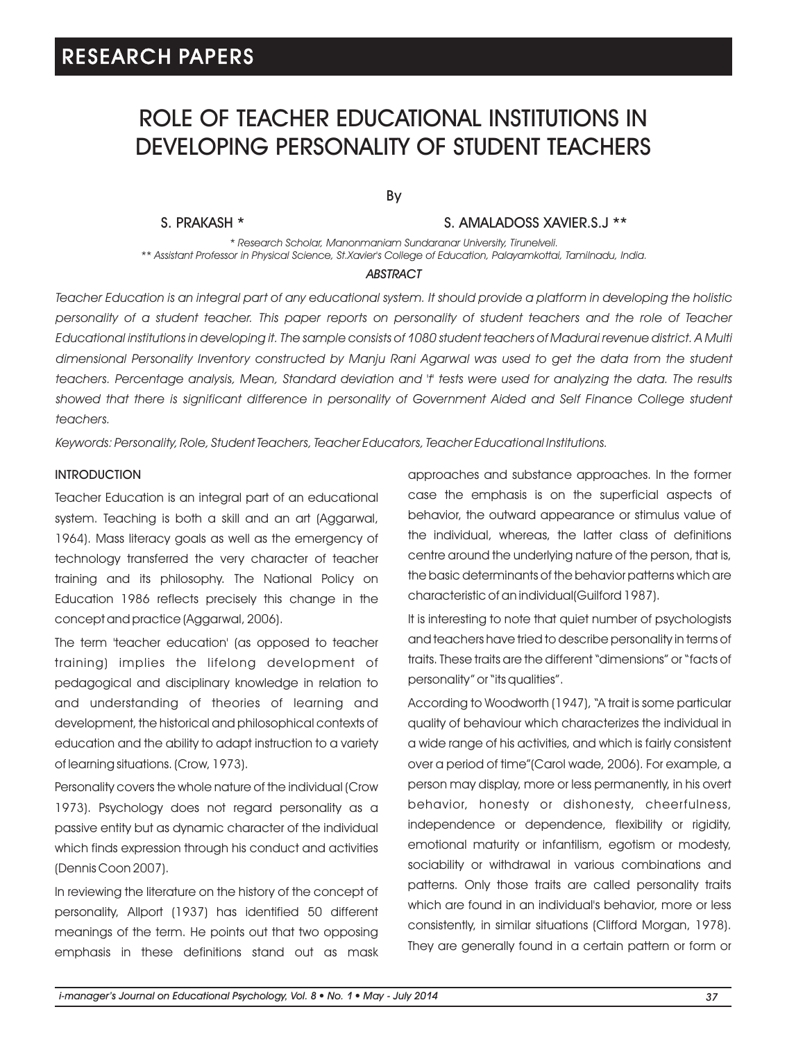# ROLE OF TEACHER EDUCATIONAL INSTITUTIONS IN DEVELOPING PERSONALITY OF STUDENT TEACHERS

By

S. PRAKASH \* S. AMALADOSS XAVIER.S.J \*\*

*\* Research Scholar, Manonmaniam Sundaranar University, Tirunelveli. \*\* Assistant Professor in Physical Science, St.Xavier's College of Education, Palayamkottai, Tamilnadu, India.*

#### *ABSTRACT*

*Teacher Education is an integral part of any educational system. It should provide a platform in developing the holistic personality of a student teacher. This paper reports on personality of student teachers and the role of Teacher Educational institutions in developing it. The sample consists of 1080 student teachers of Madurai revenue district. A Multi dimensional Personality Inventory constructed by Manju Rani Agarwal was used to get the data from the student teachers. Percentage analysis, Mean, Standard deviation and 't' tests were used for analyzing the data. The results*  showed that there is significant difference in personality of Government Aided and Self Finance College student *teachers.*

*Keywords: Personality, Role, Student Teachers, Teacher Educators, Teacher Educational Institutions.*

#### INTRODUCTION

Teacher Education is an integral part of an educational system. Teaching is both a skill and an art (Aggarwal, 1964). Mass literacy goals as well as the emergency of technology transferred the very character of teacher training and its philosophy. The National Policy on Education 1986 reflects precisely this change in the concept and practice (Aggarwal, 2006).

The term 'teacher education' (as opposed to teacher training) implies the lifelong development of pedagogical and disciplinary knowledge in relation to and understanding of theories of learning and development, the historical and philosophical contexts of education and the ability to adapt instruction to a variety of learning situations. (Crow, 1973).

Personality covers the whole nature of the individual (Crow 1973). Psychology does not regard personality as a passive entity but as dynamic character of the individual which finds expression through his conduct and activities (Dennis Coon 2007).

In reviewing the literature on the history of the concept of personality, Allport (1937) has identified 50 different meanings of the term. He points out that two opposing emphasis in these definitions stand out as mask approaches and substance approaches. In the former case the emphasis is on the superficial aspects of behavior, the outward appearance or stimulus value of the individual, whereas, the latter class of definitions centre around the underlying nature of the person, that is, the basic determinants of the behavior patterns which are characteristic of an individual(Guilford 1987).

It is interesting to note that quiet number of psychologists and teachers have tried to describe personality in terms of traits. These traits are the different "dimensions" or "facts of personality" or "its qualities".

According to Woodworth (1947), "A trait is some particular quality of behaviour which characterizes the individual in a wide range of his activities, and which is fairly consistent over a period of time"(Carol wade, 2006). For example, a person may display, more or less permanently, in his overt behavior, honesty or dishonesty, cheerfulness, independence or dependence, flexibility or rigidity, emotional maturity or infantilism, egotism or modesty, sociability or withdrawal in various combinations and patterns. Only those traits are called personality traits which are found in an individual's behavior, more or less consistently, in similar situations (Clifford Morgan, 1978). They are generally found in a certain pattern or form or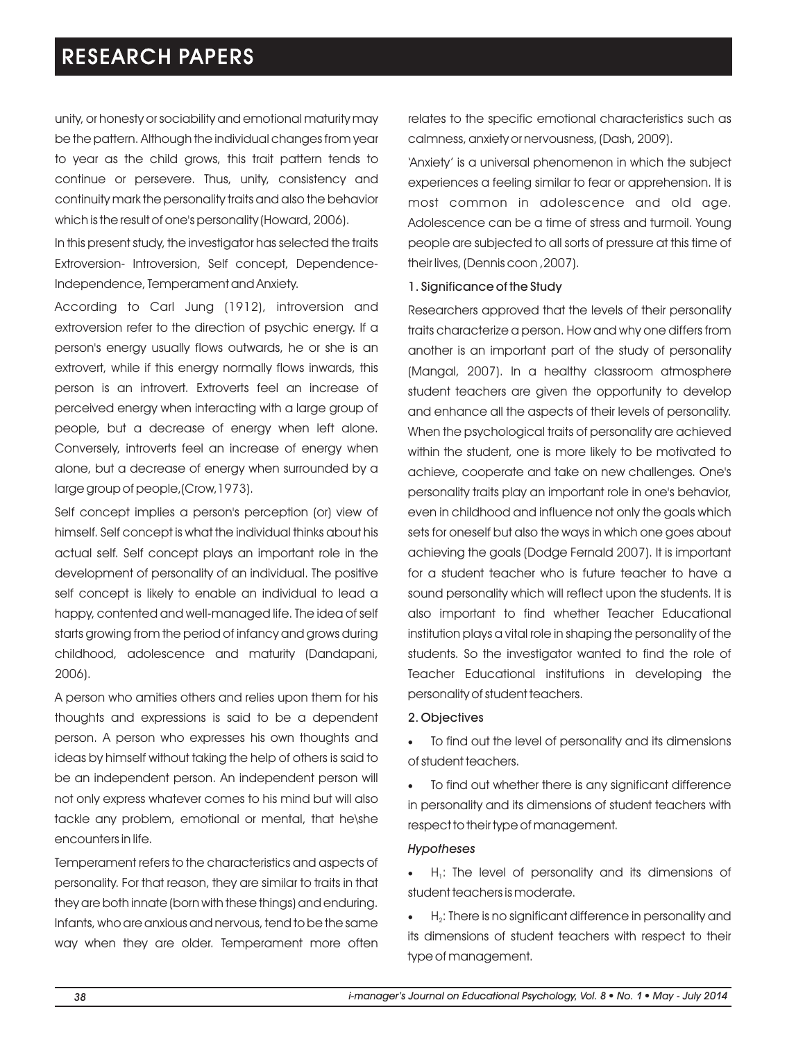unity, or honesty or sociability and emotional maturity may be the pattern. Although the individual changes from year to year as the child grows, this trait pattern tends to continue or persevere. Thus, unity, consistency and continuity mark the personality traits and also the behavior which is the result of one's personality (Howard, 2006).

In this present study, the investigator has selected the traits Extroversion- Introversion, Self concept, Dependence-Independence, Temperament and Anxiety.

According to Carl Jung (1912), introversion and extroversion refer to the direction of psychic energy. If a person's energy usually flows outwards, he or she is an extrovert, while if this energy normally flows inwards, this person is an introvert. Extroverts feel an increase of perceived energy when interacting with a large group of people, but a decrease of energy when left alone. Conversely, introverts feel an increase of energy when alone, but a decrease of energy when surrounded by a large group of people,(Crow,1973).

Self concept implies a person's perception (or) view of himself. Self concept is what the individual thinks about his actual self. Self concept plays an important role in the development of personality of an individual. The positive self concept is likely to enable an individual to lead a happy, contented and well-managed life. The idea of self starts growing from the period of infancy and grows during childhood, adolescence and maturity (Dandapani, 2006).

A person who amities others and relies upon them for his thoughts and expressions is said to be a dependent person. A person who expresses his own thoughts and ideas by himself without taking the help of others is said to be an independent person. An independent person will not only express whatever comes to his mind but will also tackle any problem, emotional or mental, that he\she encounters in life.

Temperament refers to the characteristics and aspects of personality. For that reason, they are similar to traits in that they are both innate (born with these things) and enduring. Infants, who are anxious and nervous, tend to be the same way when they are older. Temperament more often

relates to the specific emotional characteristics such as calmness, anxiety or nervousness, (Dash, 2009).

'Anxiety' is a universal phenomenon in which the subject experiences a feeling similar to fear or apprehension. It is most common in adolescence and old age. Adolescence can be a time of stress and turmoil. Young people are subjected to all sorts of pressure at this time of their lives, (Dennis coon ,2007).

### 1. Significance of the Study

Researchers approved that the levels of their personality traits characterize a person. How and why one differs from another is an important part of the study of personality (Mangal, 2007). In a healthy classroom atmosphere student teachers are given the opportunity to develop and enhance all the aspects of their levels of personality. When the psychological traits of personality are achieved within the student, one is more likely to be motivated to achieve, cooperate and take on new challenges. One's personality traits play an important role in one's behavior, even in childhood and influence not only the goals which sets for oneself but also the ways in which one goes about achieving the goals (Dodge Fernald 2007). It is important for a student teacher who is future teacher to have a sound personality which will reflect upon the students. It is also important to find whether Teacher Educational institution plays a vital role in shaping the personality of the students. So the investigator wanted to find the role of Teacher Educational institutions in developing the personality of student teachers.

#### 2. Objectives

·To find out the level of personality and its dimensions of student teachers.

To find out whether there is any significant difference in personality and its dimensions of student teachers with respect to their type of management.

### *Hypotheses*

 $H<sub>1</sub>$ : The level of personality and its dimensions of student teachers is moderate.

 $H<sub>2</sub>$ : There is no significant difference in personality and its dimensions of student teachers with respect to their type of management.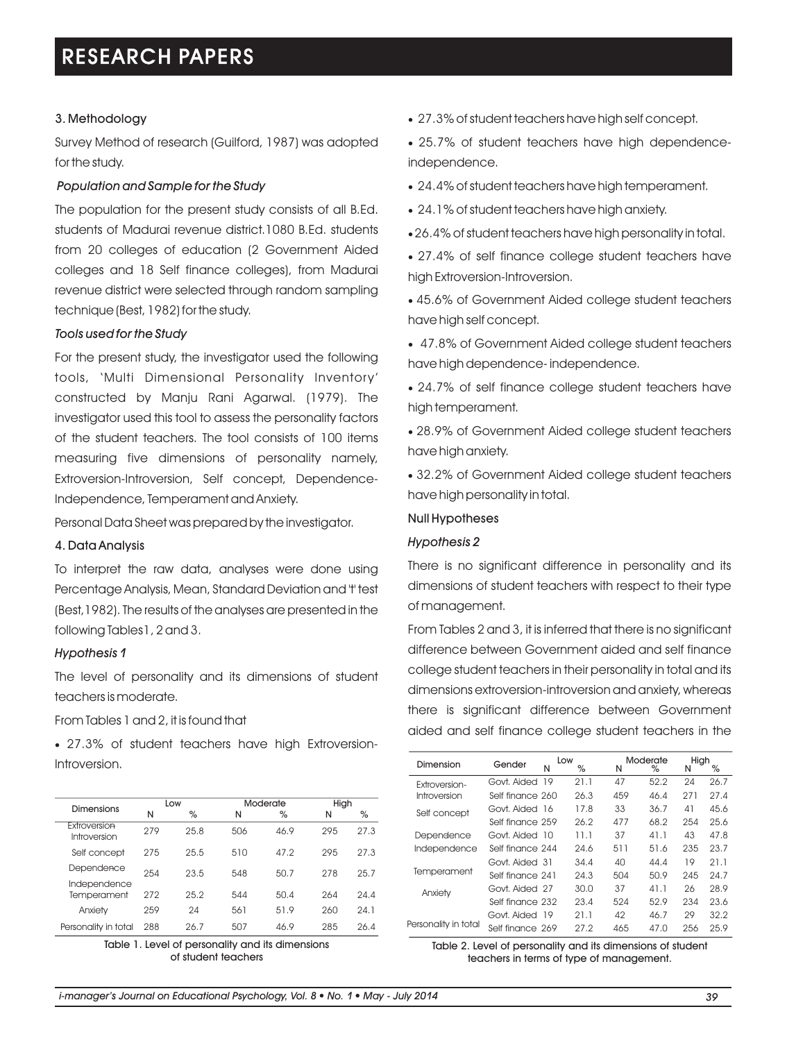## 3. Methodology

Survey Method of research (Guilford, 1987) was adopted for the study.

## *Population and Sample for the Study*

The population for the present study consists of all B.Ed. students of Madurai revenue district.1080 B.Ed. students from 20 colleges of education (2 Government Aided colleges and 18 Self finance colleges), from Madurai revenue district were selected through random sampling technique (Best, 1982) for the study.

## *Tools used for the Study*

For the present study, the investigator used the following tools, 'Multi Dimensional Personality Inventory' constructed by Manju Rani Agarwal. (1979). The investigator used this tool to assess the personality factors of the student teachers. The tool consists of 100 items measuring five dimensions of personality namely, Extroversion-Introversion, Self concept, Dependence-Independence, Temperament and Anxiety.

Personal Data Sheet was prepared by the investigator.

## 4. Data Analysis

To interpret the raw data, analyses were done using Percentage Analysis, Mean, Standard Deviation and 't' test (Best,1982). The results of the analyses are presented in the following Tables1, 2 and 3.

### *Hypothesis 1*

The level of personality and its dimensions of student teachers is moderate.

From Tables 1 and 2, it is found that

·27.3% of student teachers have high Extroversion-Introversion.

|                              | Low |      | Moderate |      | High |      |
|------------------------------|-----|------|----------|------|------|------|
| <b>Dimensions</b>            | N   | %    | N        | %    | N    | $\%$ |
| Extroversion<br>Introversion | 279 | 25.8 | 506      | 46.9 | 295  | 27.3 |
| Self concept                 | 275 | 25.5 | 510      | 47.2 | 295  | 27.3 |
| Dependence                   | 254 | 23.5 | 548      | 50.7 | 278  | 25.7 |
| Independence<br>Temperament  | 272 | 25.2 | 544      | 50.4 | 264  | 24.4 |
| Anxiety                      | 259 | 24   | 561      | 51.9 | 260  | 24.1 |
| Personality in total         | 288 | 26.7 | 507      | 46.9 | 285  | 26.4 |

Table 1. Level of personality and its dimensions of student teachers

- ·27.3% of student teachers have high self concept.
- ·25.7% of student teachers have high dependenceindependence.
- ·24.4% of student teachers have high temperament.
- ·24.1% of student teachers have high anxiety.
- ·26.4% of student teachers have high personality in total.
- ·27.4% of self finance college student teachers have high Extroversion-Introversion.
- ·45.6% of Government Aided college student teachers have high self concept.
- ·47.8% of Government Aided college student teachers have high dependence- independence.
- ·24.7% of self finance college student teachers have high temperament.
- ·28.9% of Government Aided college student teachers have high anxiety.
- ·32.2% of Government Aided college student teachers have high personality in total.

### Null Hypotheses

### *Hypothesis 2*

There is no significant difference in personality and its dimensions of student teachers with respect to their type of management.

From Tables 2 and 3, it is inferred that there is no significant difference between Government aided and self finance college student teachers in their personality in total and its dimensions extroversion-introversion and anxiety, whereas there is significant difference between Government aided and self finance college student teachers in the

| Dimension            | Gender           | N | Low<br>℅ | N   | Moderate<br>℅ | High<br>N | %    |
|----------------------|------------------|---|----------|-----|---------------|-----------|------|
| Extroversion-        | Govt. Aided 19   |   | 21.1     | 47  | 52.2          | 24        | 26.7 |
| Introversion         | Self finance 260 |   | 26.3     | 459 | 46.4          | 271       | 27.4 |
| Self concept         | Govt. Aided 16   |   | 17.8     | 33  | 36.7          | 41        | 45.6 |
|                      | Self finance 259 |   | 26.2     | 477 | 68.2          | 254       | 25.6 |
| Dependence           | Govt. Aided 10   |   | 11.1     | 37  | 41.1          | 43        | 47.8 |
| Independence         | Self finance 244 |   | 24.6     | 511 | 51.6          | 235       | 23.7 |
| Temperament          | Govt. Aided 31   |   | 34.4     | 40  | 44.4          | 19        | 21.1 |
|                      | Self finance 241 |   | 24.3     | 504 | 50.9          | 245       | 24.7 |
| Anxiety              | Govt. Aided 27   |   | 30.0     | 37  | 41.1          | 26        | 28.9 |
|                      | Self finance 232 |   | 23.4     | 524 | 52.9          | 234       | 23.6 |
| Personality in total | Govt. Aided 19   |   | 21.1     | 42  | 46.7          | 29        | 32.2 |
|                      | Self finance 269 |   | 27.2     | 465 | 47.0          | 256       | 25.9 |

Table 2. Level of personality and its dimensions of student teachers in terms of type of management.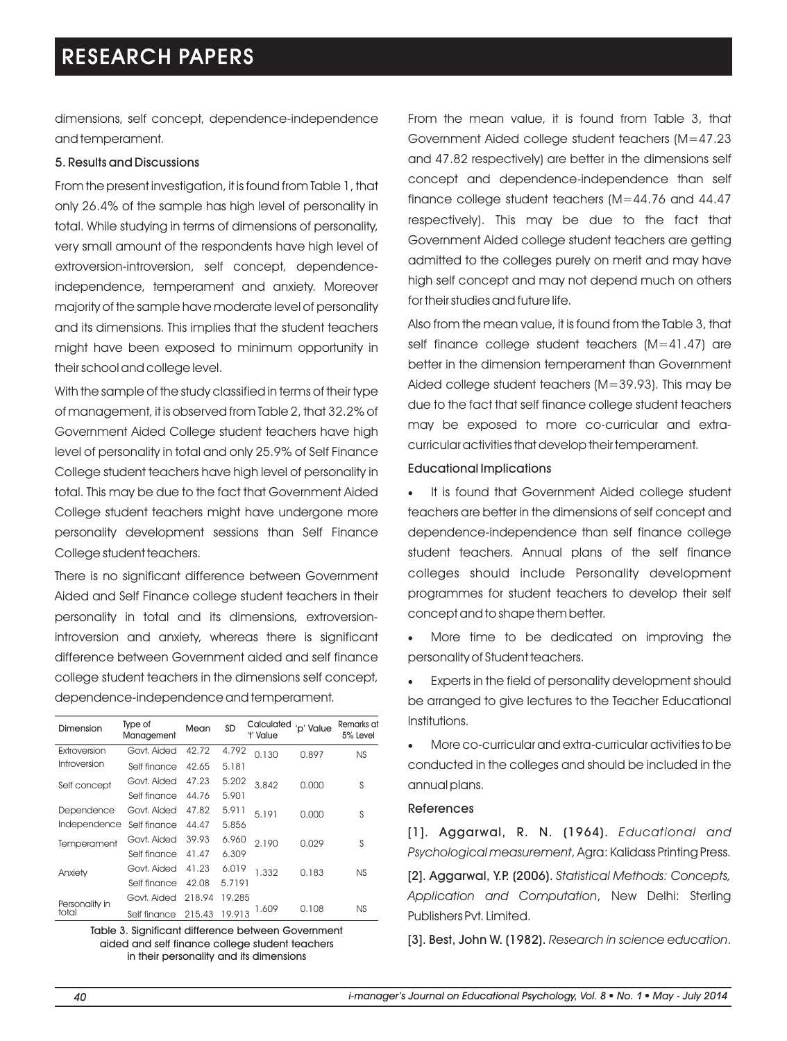dimensions, self concept, dependence-independence and temperament.

### 5. Results and Discussions

From the present investigation, it is found from Table 1, that only 26.4% of the sample has high level of personality in total. While studying in terms of dimensions of personality, very small amount of the respondents have high level of extroversion-introversion, self concept, dependenceindependence, temperament and anxiety. Moreover majority of the sample have moderate level of personality and its dimensions. This implies that the student teachers might have been exposed to minimum opportunity in their school and college level.

With the sample of the study classified in terms of their type of management, it is observed from Table 2, that 32.2% of Government Aided College student teachers have high level of personality in total and only 25.9% of Self Finance College student teachers have high level of personality in total. This may be due to the fact that Government Aided College student teachers might have undergone more personality development sessions than Self Finance College student teachers.

There is no significant difference between Government Aided and Self Finance college student teachers in their personality in total and its dimensions, extroversionintroversion and anxiety, whereas there is significant difference between Government aided and self finance college student teachers in the dimensions self concept, dependence-independence and temperament.

| Dimension               | Type of<br>Management | Mean   | SD     | Calculated<br>'t' Value | 'p' Value | Remarks at<br>5% Level |
|-------------------------|-----------------------|--------|--------|-------------------------|-----------|------------------------|
| Extroversion            | Govt. Aided           | 42.72  | 4.792  | 0.130                   | 0.897     | NS                     |
| Introversion            | Self finance          | 42.65  | 5.181  |                         |           |                        |
| Self concept            | Govt. Aided           | 47.23  | 5.202  | 3.842                   | 0.000     | S                      |
|                         | Self finance          | 44.76  | 5.901  |                         |           |                        |
| Dependence              | Govt. Aided           | 47.82  | 5.911  | 5.191                   | 0.000     | S                      |
| Independence            | Self finance          | 44.47  | 5,856  |                         |           |                        |
| Temperament             | Govt. Aided           | 39.93  | 6.960  | 2.190                   | 0.029     | S                      |
|                         | Self finance          | 41.47  | 6.309  |                         |           |                        |
| Anxiety                 | Govt. Aided           | 41.23  | 6.019  | 1.332                   | 0.183     | NS                     |
|                         | Self finance          | 42.08  | 5.7191 |                         |           |                        |
| Personality in<br>total | Govt. Aided           | 218.94 | 19.285 |                         |           |                        |
|                         | Self finance          | 215.43 | 19.913 | 1.609                   | 0.108     | NS.                    |

Table 3. Significant difference between Government aided and self finance college student teachers in their personality and its dimensions

From the mean value, it is found from Table 3, that Government Aided college student teachers (M=47.23 and 47.82 respectively) are better in the dimensions self concept and dependence-independence than self finance college student teachers (M=44.76 and 44.47 respectively). This may be due to the fact that Government Aided college student teachers are getting admitted to the colleges purely on merit and may have high self concept and may not depend much on others for their studies and future life.

Also from the mean value, it is found from the Table 3, that self finance college student teachers (M=41.47) are better in the dimension temperament than Government Aided college student teachers (M=39.93). This may be due to the fact that self finance college student teachers may be exposed to more co-curricular and extracurricular activities that develop their temperament.

#### Educational Implications

It is found that Government Aided college student teachers are better in the dimensions of self concept and dependence-independence than self finance college student teachers. Annual plans of the self finance colleges should include Personality development programmes for student teachers to develop their self concept and to shape them better.

More time to be dedicated on improving the personality of Student teachers.

Experts in the field of personality development should be arranged to give lectures to the Teacher Educational Institutions.

·More co-curricular and extra-curricular activities to be conducted in the colleges and should be included in the annual plans.

#### References

[1]. Aggarwal, R. N. (1964). *Educational and Psychological measurement*, Agra: Kalidass Printing Press.

[2]. Aggarwal, Y.P. (2006). *Statistical Methods: Concepts, Application and Computation*, New Delhi: Sterling Publishers Pvt. Limited.

[3]. Best, John W. (1982). *Research in science education*.